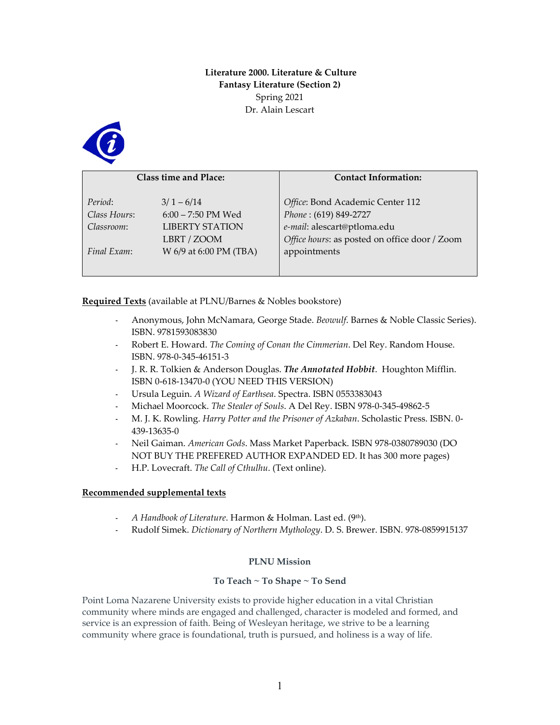# **Literature 2000. Literature & Culture Fantasy Literature (Section 2)** Spring 2021 Dr. Alain Lescart



| <b>Class time and Place:</b> |                        | <b>Contact Information:</b>                   |  |  |
|------------------------------|------------------------|-----------------------------------------------|--|--|
|                              |                        |                                               |  |  |
|                              |                        |                                               |  |  |
| Period:                      | $3/1 - 6/14$           | Office: Bond Academic Center 112              |  |  |
| Class Hours:                 | $6:00 - 7:50$ PM Wed   | Phone: (619) 849-2727                         |  |  |
| Classroom:                   | <b>LIBERTY STATION</b> | e-mail: alescart@ptloma.edu                   |  |  |
|                              | LBRT / ZOOM            | Office hours: as posted on office door / Zoom |  |  |
| Final Exam:                  | W 6/9 at 6:00 PM (TBA) | appointments                                  |  |  |
|                              |                        |                                               |  |  |
|                              |                        |                                               |  |  |

**Required Texts** (available at PLNU/Barnes & Nobles bookstore)

- Anonymous, John McNamara, George Stade. *Beowulf*. Barnes & Noble Classic Series). ISBN. 9781593083830
- Robert E. Howard. *The Coming of Conan the Cimmerian*. Del Rey. Random House. ISBN. 978-0-345-46151-3
- J. R. R. Tolkien & Anderson Douglas. *The Annotated Hobbit*. Houghton Mifflin. ISBN 0-618-13470-0 (YOU NEED THIS VERSION)
- Ursula Leguin. *A Wizard of Earthsea*. Spectra. ISBN 0553383043
- Michael Moorcock. *The Stealer of Souls*. A Del Rey. ISBN 978-0-345-49862-5
- M. J. K. Rowling. *Harry Potter and the Prisoner of Azkaban*. Scholastic Press. ISBN. 0- 439-13635-0
- Neil Gaiman. *American Gods*. Mass Market Paperback. ISBN 978-0380789030 (DO NOT BUY THE PREFERED AUTHOR EXPANDED ED. It has 300 more pages)
- H.P. Lovecraft. *The Call of Cthulhu*. (Text online).

## **Recommended supplemental texts**

- *A Handbook of Literature*. Harmon & Holman. Last ed. (9th).
- Rudolf Simek. *Dictionary of Northern Mythology*. D. S. Brewer. ISBN. 978-0859915137

# **PLNU Mission**

## **To Teach ~ To Shape ~ To Send**

Point Loma Nazarene University exists to provide higher education in a vital Christian community where minds are engaged and challenged, character is modeled and formed, and service is an expression of faith. Being of Wesleyan heritage, we strive to be a learning community where grace is foundational, truth is pursued, and holiness is a way of life.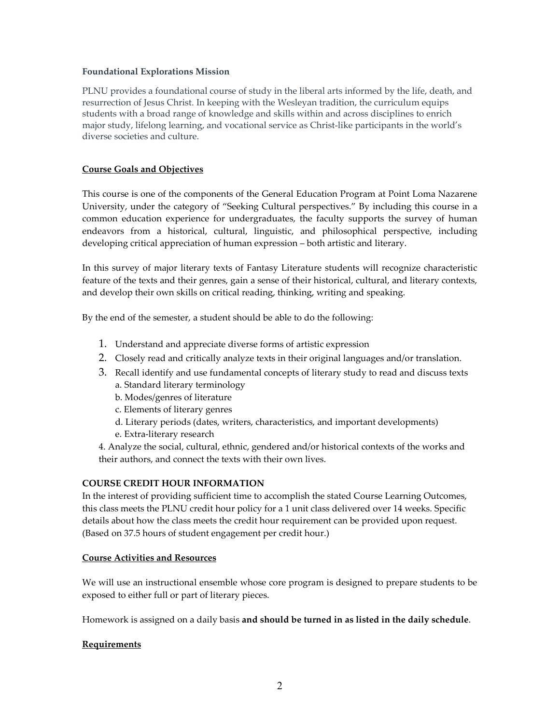## **Foundational Explorations Mission**

PLNU provides a foundational course of study in the liberal arts informed by the life, death, and resurrection of Jesus Christ. In keeping with the Wesleyan tradition, the curriculum equips students with a broad range of knowledge and skills within and across disciplines to enrich major study, lifelong learning, and vocational service as Christ-like participants in the world's diverse societies and culture.

# **Course Goals and Objectives**

This course is one of the components of the General Education Program at Point Loma Nazarene University, under the category of "Seeking Cultural perspectives." By including this course in a common education experience for undergraduates, the faculty supports the survey of human endeavors from a historical, cultural, linguistic, and philosophical perspective, including developing critical appreciation of human expression – both artistic and literary.

In this survey of major literary texts of Fantasy Literature students will recognize characteristic feature of the texts and their genres, gain a sense of their historical, cultural, and literary contexts, and develop their own skills on critical reading, thinking, writing and speaking.

By the end of the semester, a student should be able to do the following:

- 1. Understand and appreciate diverse forms of artistic expression
- 2. Closely read and critically analyze texts in their original languages and/or translation.
- 3. Recall identify and use fundamental concepts of literary study to read and discuss texts a. Standard literary terminology
	- b. Modes/genres of literature
	- c. Elements of literary genres
	- d. Literary periods (dates, writers, characteristics, and important developments)
	- e. Extra-literary research
- 4. Analyze the social, cultural, ethnic, gendered and/or historical contexts of the works and their authors, and connect the texts with their own lives.

# **COURSE CREDIT HOUR INFORMATION**

In the interest of providing sufficient time to accomplish the stated Course Learning Outcomes, this class meets the PLNU credit hour policy for a 1 unit class delivered over 14 weeks. Specific details about how the class meets the credit hour requirement can be provided upon request. (Based on 37.5 hours of student engagement per credit hour.)

# **Course Activities and Resources**

We will use an instructional ensemble whose core program is designed to prepare students to be exposed to either full or part of literary pieces.

Homework is assigned on a daily basis **and should be turned in as listed in the daily schedule**.

# **Requirements**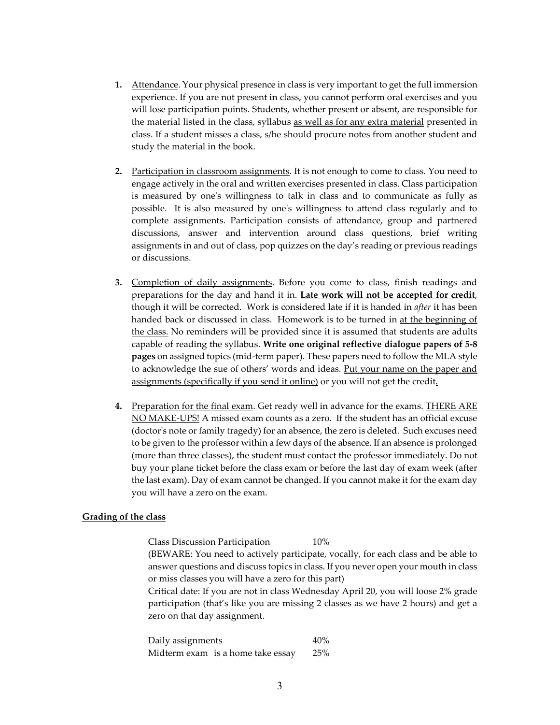- **1.** Attendance. Your physical presence in class is very important to get the full immersion experience. If you are not present in class, you cannot perform oral exercises and you will lose participation points. Students, whether present or absent, are responsible for the material listed in the class, syllabus as well as for any extra material presented in class. If a student misses a class, s/he should procure notes from another student and study the material in the book.
- **2.** Participation in classroom assignments. It is not enough to come to class. You need to engage actively in the oral and written exercises presented in class. Class participation is measured by one's willingness to talk in class and to communicate as fully as possible. It is also measured by one's willingness to attend class regularly and to complete assignments. Participation consists of attendance, group and partnered discussions, answer and intervention around class questions, brief writing assignments in and out of class, pop quizzes on the day's reading or previous readings or discussions.
- **3.** Completion of daily assignments. Before you come to class, finish readings and preparations for the day and hand it in. **Late work will not be accepted for credit**, though it will be corrected. Work is considered late if it is handed in *after* it has been handed back or discussed in class. Homework is to be turned in at the beginning of the class. No reminders will be provided since it is assumed that students are adults capable of reading the syllabus. **Write one original reflective dialogue papers of 5-8 pages** on assigned topics (mid-term paper). These papers need to follow the MLA style to acknowledge the sue of others' words and ideas. Put your name on the paper and assignments (specifically if you send it online) or you will not get the credit.
- **4.** Preparation for the final exam. Get ready well in advance for the exams. THERE ARE NO MAKE-UPS! A missed exam counts as a zero. If the student has an official excuse (doctor's note or family tragedy) for an absence, the zero is deleted. Such excuses need to be given to the professor within a few days of the absence. If an absence is prolonged (more than three classes), the student must contact the professor immediately. Do not buy your plane ticket before the class exam or before the last day of exam week (after the last exam). Day of exam cannot be changed. If you cannot make it for the exam day you will have a zero on the exam.

## **Grading of the class**

Class Discussion Participation 10%

(BEWARE: You need to actively participate, vocally, for each class and be able to answer questions and discuss topics in class. If you never open your mouth in class or miss classes you will have a zero for this part)

Critical date: If you are not in class Wednesday April 20, you will loose 2% grade participation (that's like you are missing 2 classes as we have 2 hours) and get a zero on that day assignment.

Daily assignments 40% Midterm exam is a home take essay 25%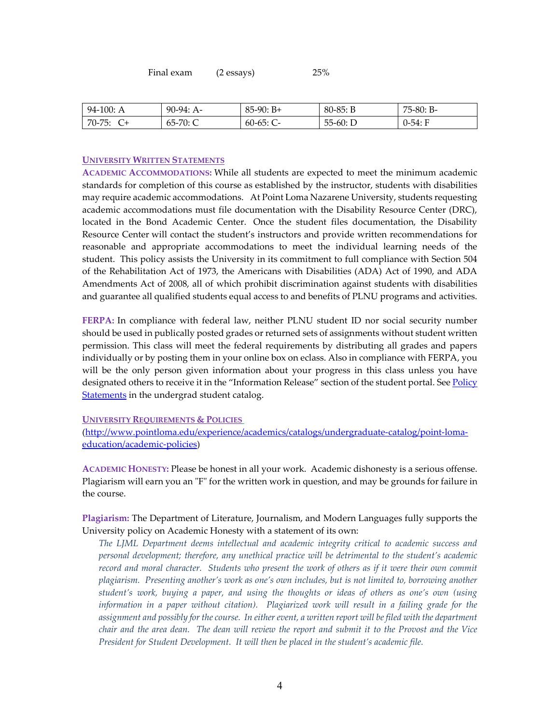| Final exam | $(2 \; \text{essays})$ | <b>25%</b> |
|------------|------------------------|------------|
|------------|------------------------|------------|

| 94-100: A       | $90-94: A-$        | $85-90: B+$ | $80-85: B$ | 75-80: B- |
|-----------------|--------------------|-------------|------------|-----------|
| $70 - 75:$<br>∸ | -70: C<br>$65 - 7$ | $60-65:$ C  | $55-60: D$ | 0-54: F   |

## **UNIVERSITY WRITTEN STATEMENTS**

**ACADEMIC ACCOMMODATIONS:** While all students are expected to meet the minimum academic standards for completion of this course as established by the instructor, students with disabilities may require academic accommodations. At Point Loma Nazarene University, students requesting academic accommodations must file documentation with the Disability Resource Center (DRC), located in the Bond Academic Center. Once the student files documentation, the Disability Resource Center will contact the student's instructors and provide written recommendations for reasonable and appropriate accommodations to meet the individual learning needs of the student. This policy assists the University in its commitment to full compliance with Section 504 of the Rehabilitation Act of 1973, the Americans with Disabilities (ADA) Act of 1990, and ADA Amendments Act of 2008, all of which prohibit discrimination against students with disabilities and guarantee all qualified students equal access to and benefits of PLNU programs and activities.

**FERPA:** In compliance with federal law, neither PLNU student ID nor social security number should be used in publically posted grades or returned sets of assignments without student written permission. This class will meet the federal requirements by distributing all grades and papers individually or by posting them in your online box on eclass. Also in compliance with FERPA, you will be the only person given information about your progress in this class unless you have designated others to receive it in the "Information Release" section of the student portal. See Policy [Statements](http://www.pointloma.edu/experience/academics/catalogs/undergraduate-catalog/policy-statements) in the undergrad student catalog.

#### **UNIVERSITY REQUIREMENTS & POLICIES**

[\(http://www.pointloma.edu/experience/academics/catalogs/undergraduate-catalog/point-loma](http://www.pointloma.edu/experience/academics/catalogs/undergraduate-catalog/point-loma-education/academic-policies)[education/academic-policies\)](http://www.pointloma.edu/experience/academics/catalogs/undergraduate-catalog/point-loma-education/academic-policies)

**ACADEMIC HONESTY:** Please be honest in all your work. Academic dishonesty is a serious offense. Plagiarism will earn you an "F" for the written work in question, and may be grounds for failure in the course.

**Plagiarism:** The Department of Literature, Journalism, and Modern Languages fully supports the University policy on Academic Honesty with a statement of its own:

*The LJML Department deems intellectual and academic integrity critical to academic success and personal development; therefore, any unethical practice will be detrimental to the student's academic record and moral character. Students who present the work of others as if it were their own commit plagiarism. Presenting another's work as one's own includes, but is not limited to, borrowing another student's work, buying a paper, and using the thoughts or ideas of others as one's own (using information in a paper without citation). Plagiarized work will result in a failing grade for the assignment and possibly for the course. In either event, a written report will be filed with the department chair and the area dean. The dean will review the report and submit it to the Provost and the Vice President for Student Development. It will then be placed in the student's academic file.*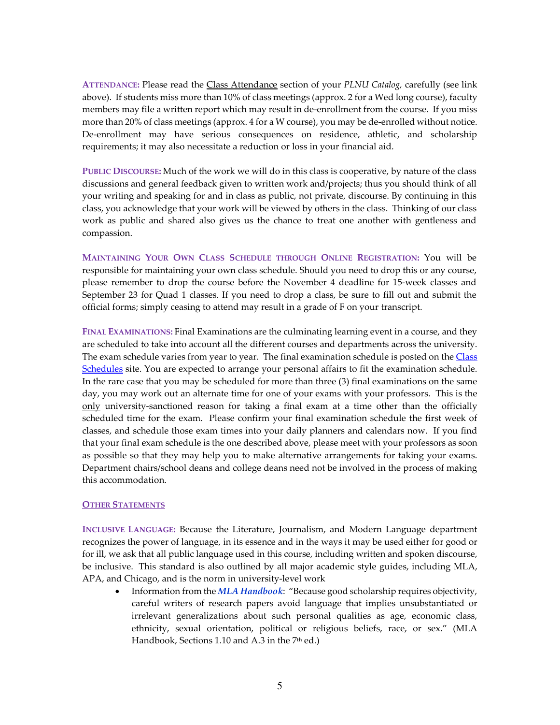**ATTENDANCE:** Please read the Class Attendance section of your *PLNU Catalog,* carefully (see link above). If students miss more than 10% of class meetings (approx. 2 for a Wed long course), faculty members may file a written report which may result in de-enrollment from the course. If you miss more than 20% of class meetings (approx. 4 for a W course), you may be de-enrolled without notice. De-enrollment may have serious consequences on residence, athletic, and scholarship requirements; it may also necessitate a reduction or loss in your financial aid.

**PUBLIC DISCOURSE:** Much of the work we will do in this class is cooperative, by nature of the class discussions and general feedback given to written work and/projects; thus you should think of all your writing and speaking for and in class as public, not private, discourse. By continuing in this class, you acknowledge that your work will be viewed by others in the class. Thinking of our class work as public and shared also gives us the chance to treat one another with gentleness and compassion.

**MAINTAINING YOUR OWN CLASS SCHEDULE THROUGH ONLINE REGISTRATION:** You will be responsible for maintaining your own class schedule. Should you need to drop this or any course, please remember to drop the course before the November 4 deadline for 15-week classes and September 23 for Quad 1 classes. If you need to drop a class, be sure to fill out and submit the official forms; simply ceasing to attend may result in a grade of F on your transcript.

**FINAL EXAMINATIONS:** Final Examinations are the culminating learning event in a course, and they are scheduled to take into account all the different courses and departments across the university. The exam schedule varies from year to year. The final examination schedule is posted on the Class [Schedules](http://www.pointloma.edu/experience/academics/class-schedules) site. You are expected to arrange your personal affairs to fit the examination schedule. In the rare case that you may be scheduled for more than three (3) final examinations on the same day, you may work out an alternate time for one of your exams with your professors. This is the only university-sanctioned reason for taking a final exam at a time other than the officially scheduled time for the exam. Please confirm your final examination schedule the first week of classes, and schedule those exam times into your daily planners and calendars now. If you find that your final exam schedule is the one described above, please meet with your professors as soon as possible so that they may help you to make alternative arrangements for taking your exams. Department chairs/school deans and college deans need not be involved in the process of making this accommodation.

## **OTHER STATEMENTS**

**INCLUSIVE LANGUAGE:** Because the Literature, Journalism, and Modern Language department recognizes the power of language, in its essence and in the ways it may be used either for good or for ill, we ask that all public language used in this course, including written and spoken discourse, be inclusive. This standard is also outlined by all major academic style guides, including MLA, APA, and Chicago, and is the norm in university-level work

• Information from the *MLA Handbook*: "Because good scholarship requires objectivity, careful writers of research papers avoid language that implies unsubstantiated or irrelevant generalizations about such personal qualities as age, economic class, ethnicity, sexual orientation, political or religious beliefs, race, or sex." (MLA Handbook, Sections 1.10 and A.3 in the 7<sup>th</sup> ed.)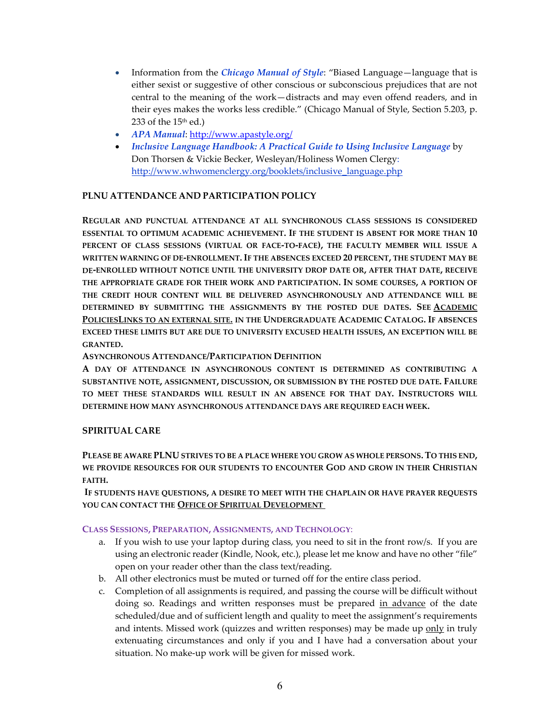- Information from the *Chicago Manual of Style*: "Biased Language—language that is either sexist or suggestive of other conscious or subconscious prejudices that are not central to the meaning of the work—distracts and may even offend readers, and in their eyes makes the works less credible." (Chicago Manual of Style, Section 5.203, p. 233 of the  $15<sup>th</sup>$  ed.)
- *APA Manual*[: http://www.apastyle.org/](http://www.apastyle.org/)
- *Inclusive Language Handbook: A Practical Guide to Using Inclusive Language* by Don Thorsen & Vickie Becker, Wesleyan/Holiness Women Clergy: [http://www.whwomenclergy.org/booklets/inclusive\\_language.php](http://www.whwomenclergy.org/booklets/inclusive_language.php)

# **PLNU ATTENDANCE AND PARTICIPATION POLICY**

**REGULAR AND PUNCTUAL ATTENDANCE AT ALL SYNCHRONOUS CLASS SESSIONS IS CONSIDERED ESSENTIAL TO OPTIMUM ACADEMIC ACHIEVEMENT. IF THE STUDENT IS ABSENT FOR MORE THAN 10 PERCENT OF CLASS SESSIONS (VIRTUAL OR FACE-TO-FACE), THE FACULTY MEMBER WILL ISSUE A WRITTEN WARNING OF DE-ENROLLMENT. IF THE ABSENCES EXCEED 20 PERCENT, THE STUDENT MAY BE DE-ENROLLED WITHOUT NOTICE UNTIL THE UNIVERSITY DROP DATE OR, AFTER THAT DATE, RECEIVE THE APPROPRIATE GRADE FOR THEIR WORK AND PARTICIPATION. IN SOME COURSES, A PORTION OF THE CREDIT HOUR CONTENT WILL BE DELIVERED ASYNCHRONOUSLY AND ATTENDANCE WILL BE DETERMINED BY SUBMITTING THE ASSIGNMENTS BY THE POSTED DUE DATES. SEE [ACADEMIC](http://catalog.pointloma.edu/content.php?catoid=18&navoid=1278)  [POLICIESLINKS TO AN EXTERNAL SITE.](http://catalog.pointloma.edu/content.php?catoid=18&navoid=1278) IN THE UNDERGRADUATE ACADEMIC CATALOG. IF ABSENCES EXCEED THESE LIMITS BUT ARE DUE TO UNIVERSITY EXCUSED HEALTH ISSUES, AN EXCEPTION WILL BE GRANTED.**

**ASYNCHRONOUS ATTENDANCE/PARTICIPATION DEFINITION**

**A DAY OF ATTENDANCE IN ASYNCHRONOUS CONTENT IS DETERMINED AS CONTRIBUTING A SUBSTANTIVE NOTE, ASSIGNMENT, DISCUSSION, OR SUBMISSION BY THE POSTED DUE DATE. FAILURE TO MEET THESE STANDARDS WILL RESULT IN AN ABSENCE FOR THAT DAY. INSTRUCTORS WILL DETERMINE HOW MANY ASYNCHRONOUS ATTENDANCE DAYS ARE REQUIRED EACH WEEK.**

# **SPIRITUAL CARE**

**PLEASE BE AWARE PLNU STRIVES TO BE A PLACE WHERE YOU GROW AS WHOLE PERSONS. TO THIS END, WE PROVIDE RESOURCES FOR OUR STUDENTS TO ENCOUNTER GOD AND GROW IN THEIR CHRISTIAN FAITH.**

**IF STUDENTS HAVE QUESTIONS, A DESIRE TO MEET WITH THE CHAPLAIN OR HAVE PRAYER REQUESTS YOU CAN CONTACT THE [OFFICE OF SPIRITUAL DEVELOPMENT](https://www.pointloma.edu/offices/spiritual-development)**

## **CLASS SESSIONS, PREPARATION, ASSIGNMENTS, AND TECHNOLOGY**:

- a. If you wish to use your laptop during class, you need to sit in the front row/s. If you are using an electronic reader (Kindle, Nook, etc.), please let me know and have no other "file" open on your reader other than the class text/reading.
- b. All other electronics must be muted or turned off for the entire class period.
- c. Completion of all assignments is required, and passing the course will be difficult without doing so. Readings and written responses must be prepared in advance of the date scheduled/due and of sufficient length and quality to meet the assignment's requirements and intents. Missed work (quizzes and written responses) may be made up only in truly extenuating circumstances and only if you and I have had a conversation about your situation. No make-up work will be given for missed work.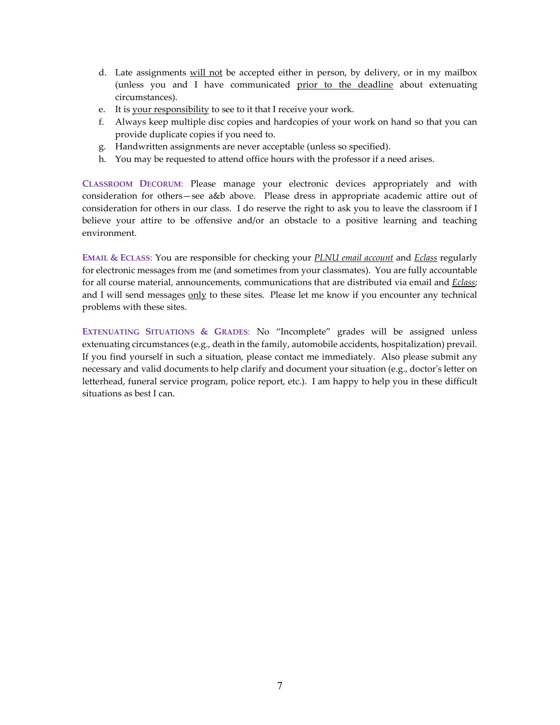- d. Late assignments will not be accepted either in person, by delivery, or in my mailbox (unless you and I have communicated prior to the deadline about extenuating circumstances).
- e. It is your responsibility to see to it that I receive your work.
- f. Always keep multiple disc copies and hardcopies of your work on hand so that you can provide duplicate copies if you need to.
- g. Handwritten assignments are never acceptable (unless so specified).
- h. You may be requested to attend office hours with the professor if a need arises.

**CLASSROOM DECORUM**: Please manage your electronic devices appropriately and with consideration for others—see a&b above. Please dress in appropriate academic attire out of consideration for others in our class. I do reserve the right to ask you to leave the classroom if I believe your attire to be offensive and/or an obstacle to a positive learning and teaching environment.

**EMAIL & ECLASS**: You are responsible for checking your *PLNU email account* and *Eclass* regularly for electronic messages from me (and sometimes from your classmates). You are fully accountable for all course material, announcements, communications that are distributed via email and *Eclass*; and I will send messages only to these sites. Please let me know if you encounter any technical problems with these sites.

**EXTENUATING SITUATIONS & GRADES**: No "Incomplete" grades will be assigned unless extenuating circumstances (e.g., death in the family, automobile accidents, hospitalization) prevail. If you find yourself in such a situation, please contact me immediately. Also please submit any necessary and valid documents to help clarify and document your situation (e.g., doctor's letter on letterhead, funeral service program, police report, etc.). I am happy to help you in these difficult situations as best I can.